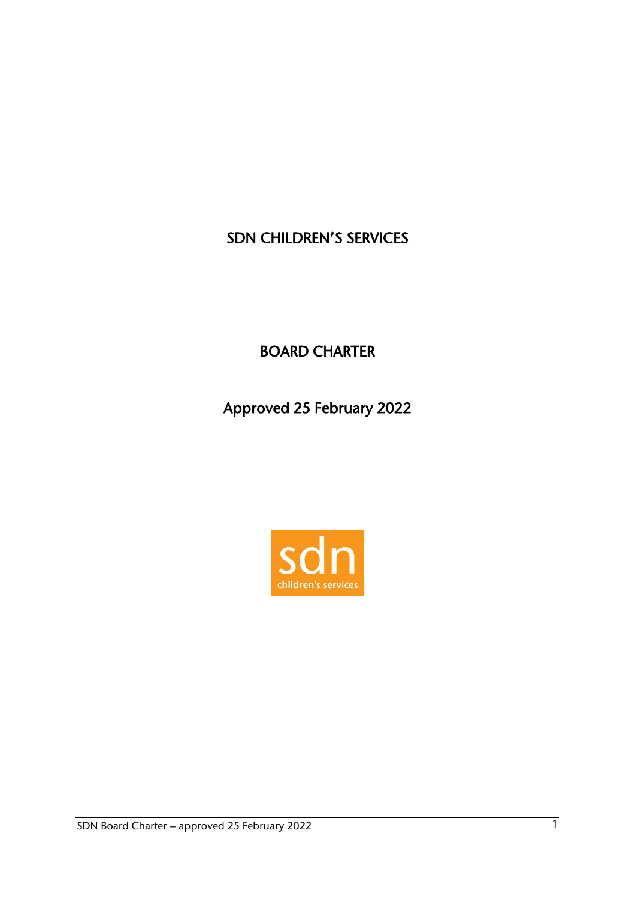# SDN CHILDREN'S SERVICES

BOARD CHARTER

Approved 25 February 2022

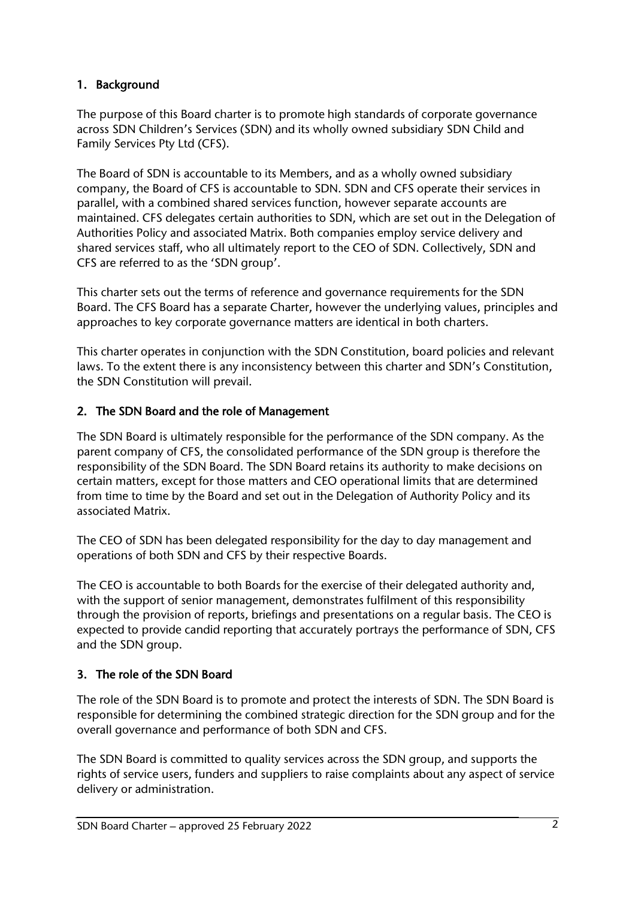# 1. Background

The purpose of this Board charter is to promote high standards of corporate governance across SDN Children's Services (SDN) and its wholly owned subsidiary SDN Child and Family Services Pty Ltd (CFS).

The Board of SDN is accountable to its Members, and as a wholly owned subsidiary company, the Board of CFS is accountable to SDN. SDN and CFS operate their services in parallel, with a combined shared services function, however separate accounts are maintained. CFS delegates certain authorities to SDN, which are set out in the Delegation of Authorities Policy and associated Matrix. Both companies employ service delivery and shared services staff, who all ultimately report to the CEO of SDN. Collectively, SDN and CFS are referred to as the 'SDN group'.

This charter sets out the terms of reference and governance requirements for the SDN Board. The CFS Board has a separate Charter, however the underlying values, principles and approaches to key corporate governance matters are identical in both charters.

This charter operates in conjunction with the SDN Constitution, board policies and relevant laws. To the extent there is any inconsistency between this charter and SDN's Constitution, the SDN Constitution will prevail.

# 2. The SDN Board and the role of Management

The SDN Board is ultimately responsible for the performance of the SDN company. As the parent company of CFS, the consolidated performance of the SDN group is therefore the responsibility of the SDN Board. The SDN Board retains its authority to make decisions on certain matters, except for those matters and CEO operational limits that are determined from time to time by the Board and set out in the Delegation of Authority Policy and its associated Matrix.

The CEO of SDN has been delegated responsibility for the day to day management and operations of both SDN and CFS by their respective Boards.

The CEO is accountable to both Boards for the exercise of their delegated authority and, with the support of senior management, demonstrates fulfilment of this responsibility through the provision of reports, briefings and presentations on a regular basis. The CEO is expected to provide candid reporting that accurately portrays the performance of SDN, CFS and the SDN group.

# 3. The role of the SDN Board

The role of the SDN Board is to promote and protect the interests of SDN. The SDN Board is responsible for determining the combined strategic direction for the SDN group and for the overall governance and performance of both SDN and CFS.

The SDN Board is committed to quality services across the SDN group, and supports the rights of service users, funders and suppliers to raise complaints about any aspect of service delivery or administration.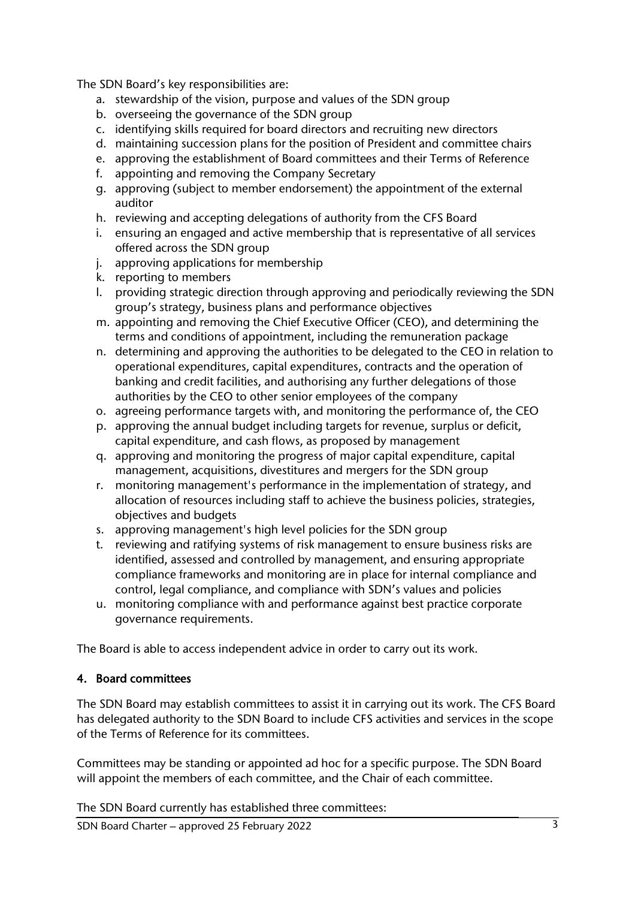The SDN Board's key responsibilities are:

- a. stewardship of the vision, purpose and values of the SDN group
- b. overseeing the governance of the SDN group
- c. identifying skills required for board directors and recruiting new directors
- d. maintaining succession plans for the position of President and committee chairs
- e. approving the establishment of Board committees and their Terms of Reference
- f. appointing and removing the Company Secretary
- g. approving (subject to member endorsement) the appointment of the external auditor
- h. reviewing and accepting delegations of authority from the CFS Board
- i. ensuring an engaged and active membership that is representative of all services offered across the SDN group
- j. approving applications for membership
- k. reporting to members
- l. providing strategic direction through approving and periodically reviewing the SDN group's strategy, business plans and performance objectives
- m. appointing and removing the Chief Executive Officer (CEO), and determining the terms and conditions of appointment, including the remuneration package
- n. determining and approving the authorities to be delegated to the CEO in relation to operational expenditures, capital expenditures, contracts and the operation of banking and credit facilities, and authorising any further delegations of those authorities by the CEO to other senior employees of the company
- o. agreeing performance targets with, and monitoring the performance of, the CEO
- p. approving the annual budget including targets for revenue, surplus or deficit, capital expenditure, and cash flows, as proposed by management
- q. approving and monitoring the progress of major capital expenditure, capital management, acquisitions, divestitures and mergers for the SDN group
- r. monitoring management's performance in the implementation of strategy, and allocation of resources including staff to achieve the business policies, strategies, objectives and budgets
- s. approving management's high level policies for the SDN group
- t. reviewing and ratifying systems of risk management to ensure business risks are identified, assessed and controlled by management, and ensuring appropriate compliance frameworks and monitoring are in place for internal compliance and control, legal compliance, and compliance with SDN's values and policies
- u. monitoring compliance with and performance against best practice corporate governance requirements.

The Board is able to access independent advice in order to carry out its work.

# 4. Board committees

The SDN Board may establish committees to assist it in carrying out its work. The CFS Board has delegated authority to the SDN Board to include CFS activities and services in the scope of the Terms of Reference for its committees.

Committees may be standing or appointed ad hoc for a specific purpose. The SDN Board will appoint the members of each committee, and the Chair of each committee.

The SDN Board currently has established three committees: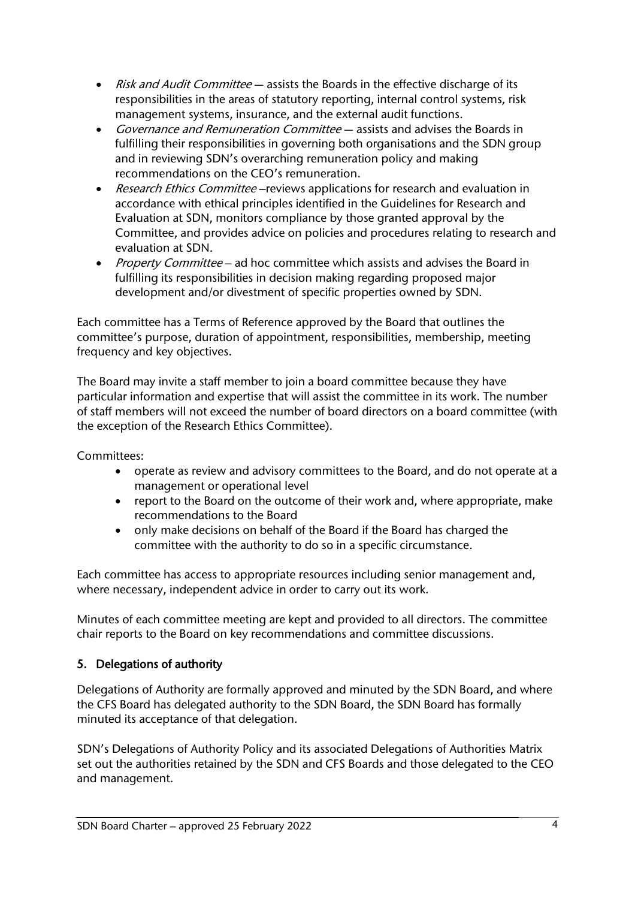- Risk and Audit Committee assists the Boards in the effective discharge of its responsibilities in the areas of statutory reporting, internal control systems, risk management systems, insurance, and the external audit functions.
- Governance and Remuneration Committee assists and advises the Boards in fulfilling their responsibilities in governing both organisations and the SDN group and in reviewing SDN's overarching remuneration policy and making recommendations on the CEO's remuneration.
- Research Ethics Committee reviews applications for research and evaluation in accordance with ethical principles identified in the Guidelines for Research and Evaluation at SDN, monitors compliance by those granted approval by the Committee, and provides advice on policies and procedures relating to research and evaluation at SDN.
- Property Committee ad hoc committee which assists and advises the Board in fulfilling its responsibilities in decision making regarding proposed major development and/or divestment of specific properties owned by SDN.

Each committee has a Terms of Reference approved by the Board that outlines the committee's purpose, duration of appointment, responsibilities, membership, meeting frequency and key objectives.

The Board may invite a staff member to join a board committee because they have particular information and expertise that will assist the committee in its work. The number of staff members will not exceed the number of board directors on a board committee (with the exception of the Research Ethics Committee).

Committees:

- operate as review and advisory committees to the Board, and do not operate at a management or operational level
- report to the Board on the outcome of their work and, where appropriate, make recommendations to the Board
- only make decisions on behalf of the Board if the Board has charged the committee with the authority to do so in a specific circumstance.

Each committee has access to appropriate resources including senior management and, where necessary, independent advice in order to carry out its work.

Minutes of each committee meeting are kept and provided to all directors. The committee chair reports to the Board on key recommendations and committee discussions.

# 5. Delegations of authority

Delegations of Authority are formally approved and minuted by the SDN Board, and where the CFS Board has delegated authority to the SDN Board, the SDN Board has formally minuted its acceptance of that delegation.

SDN's Delegations of Authority Policy and its associated Delegations of Authorities Matrix set out the authorities retained by the SDN and CFS Boards and those delegated to the CEO and management.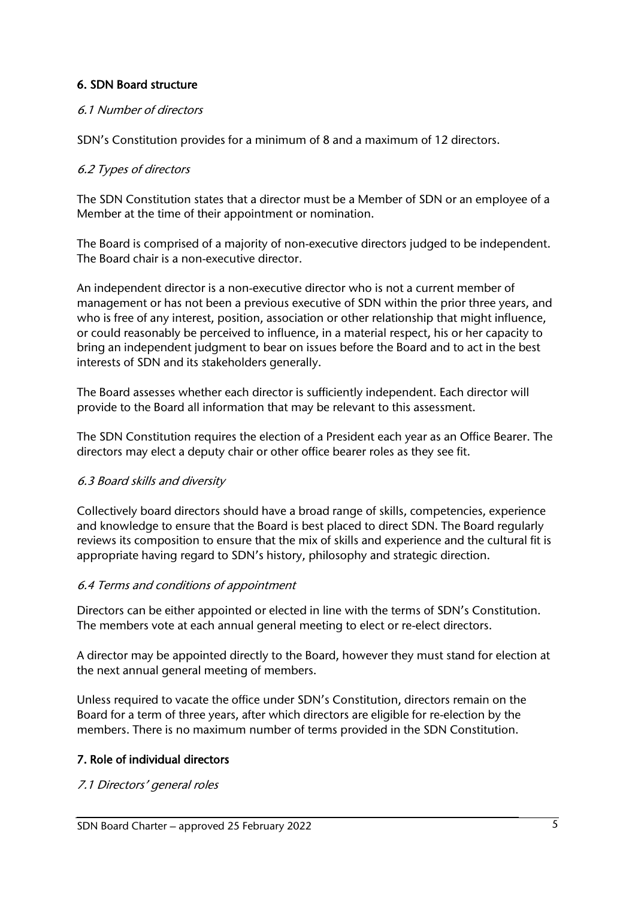# 6. SDN Board structure

#### 6.1 Number of directors

SDN's Constitution provides for a minimum of 8 and a maximum of 12 directors.

#### 6.2 Types of directors

The SDN Constitution states that a director must be a Member of SDN or an employee of a Member at the time of their appointment or nomination.

The Board is comprised of a majority of non-executive directors judged to be independent. The Board chair is a non-executive director.

An independent director is a non-executive director who is not a current member of management or has not been a previous executive of SDN within the prior three years, and who is free of any interest, position, association or other relationship that might influence, or could reasonably be perceived to influence, in a material respect, his or her capacity to bring an independent judgment to bear on issues before the Board and to act in the best interests of SDN and its stakeholders generally.

The Board assesses whether each director is sufficiently independent. Each director will provide to the Board all information that may be relevant to this assessment.

The SDN Constitution requires the election of a President each year as an Office Bearer. The directors may elect a deputy chair or other office bearer roles as they see fit.

#### 6.3 Board skills and diversity

Collectively board directors should have a broad range of skills, competencies, experience and knowledge to ensure that the Board is best placed to direct SDN. The Board regularly reviews its composition to ensure that the mix of skills and experience and the cultural fit is appropriate having regard to SDN's history, philosophy and strategic direction.

#### 6.4 Terms and conditions of appointment

Directors can be either appointed or elected in line with the terms of SDN's Constitution. The members vote at each annual general meeting to elect or re-elect directors.

A director may be appointed directly to the Board, however they must stand for election at the next annual general meeting of members.

Unless required to vacate the office under SDN's Constitution, directors remain on the Board for a term of three years, after which directors are eligible for re-election by the members. There is no maximum number of terms provided in the SDN Constitution.

## 7. Role of individual directors

#### 7.1 Directors' general roles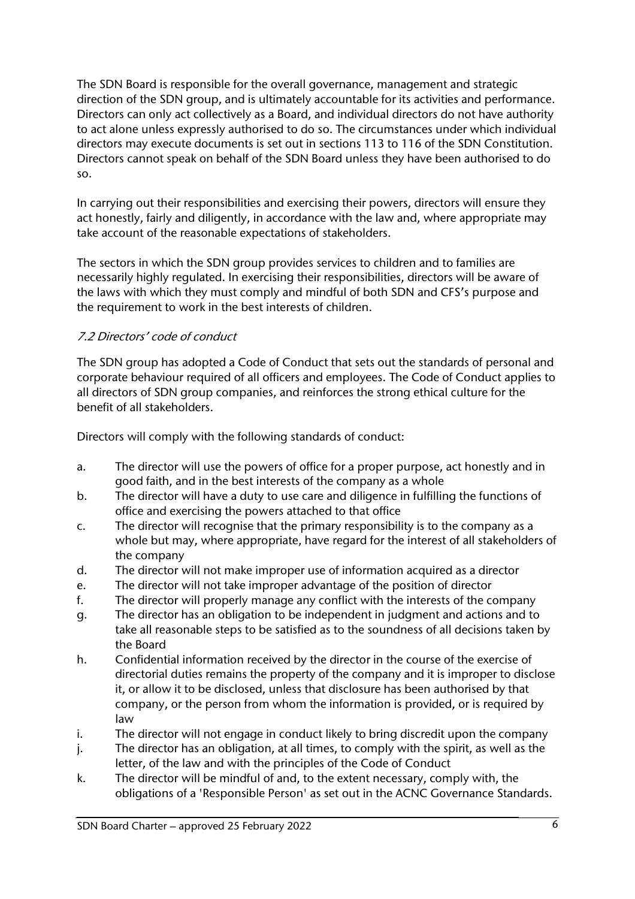The SDN Board is responsible for the overall governance, management and strategic direction of the SDN group, and is ultimately accountable for its activities and performance. Directors can only act collectively as a Board, and individual directors do not have authority to act alone unless expressly authorised to do so. The circumstances under which individual directors may execute documents is set out in sections 113 to 116 of the SDN Constitution. Directors cannot speak on behalf of the SDN Board unless they have been authorised to do so.

In carrying out their responsibilities and exercising their powers, directors will ensure they act honestly, fairly and diligently, in accordance with the law and, where appropriate may take account of the reasonable expectations of stakeholders.

The sectors in which the SDN group provides services to children and to families are necessarily highly regulated. In exercising their responsibilities, directors will be aware of the laws with which they must comply and mindful of both SDN and CFS's purpose and the requirement to work in the best interests of children.

# 7.2 Directors' code of conduct

The SDN group has adopted a Code of Conduct that sets out the standards of personal and corporate behaviour required of all officers and employees. The Code of Conduct applies to all directors of SDN group companies, and reinforces the strong ethical culture for the benefit of all stakeholders.

Directors will comply with the following standards of conduct:

- a. The director will use the powers of office for a proper purpose, act honestly and in good faith, and in the best interests of the company as a whole
- b. The director will have a duty to use care and diligence in fulfilling the functions of office and exercising the powers attached to that office
- c. The director will recognise that the primary responsibility is to the company as a whole but may, where appropriate, have regard for the interest of all stakeholders of the company
- d. The director will not make improper use of information acquired as a director
- e. The director will not take improper advantage of the position of director
- f. The director will properly manage any conflict with the interests of the company
- g. The director has an obligation to be independent in judgment and actions and to take all reasonable steps to be satisfied as to the soundness of all decisions taken by the Board
- h. Confidential information received by the director in the course of the exercise of directorial duties remains the property of the company and it is improper to disclose it, or allow it to be disclosed, unless that disclosure has been authorised by that company, or the person from whom the information is provided, or is required by law
- i. The director will not engage in conduct likely to bring discredit upon the company
- j. The director has an obligation, at all times, to comply with the spirit, as well as the letter, of the law and with the principles of the Code of Conduct
- k. The director will be mindful of and, to the extent necessary, comply with, the obligations of a 'Responsible Person' as set out in the ACNC Governance Standards.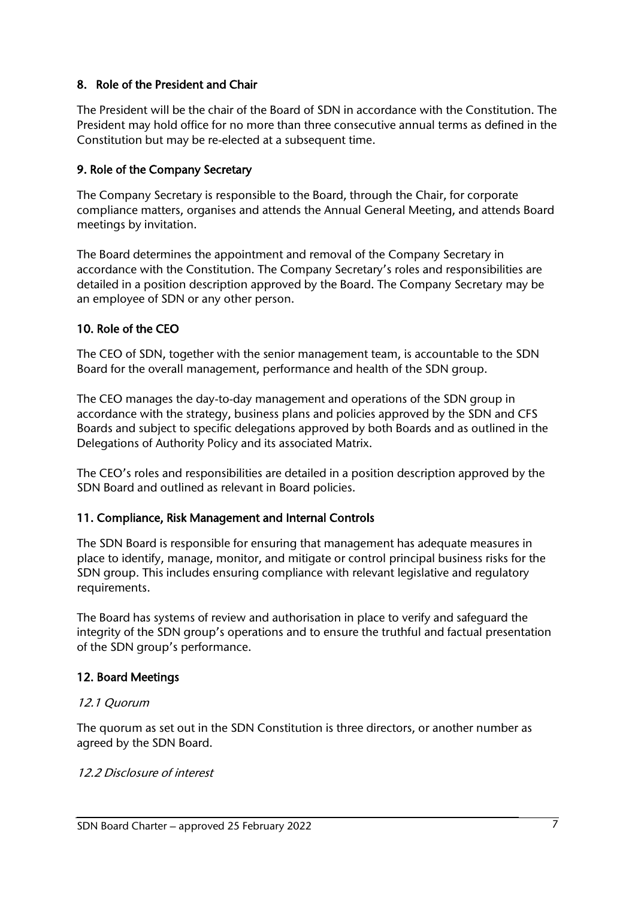# 8. Role of the President and Chair

The President will be the chair of the Board of SDN in accordance with the Constitution. The President may hold office for no more than three consecutive annual terms as defined in the Constitution but may be re-elected at a subsequent time.

## 9. Role of the Company Secretary

The Company Secretary is responsible to the Board, through the Chair, for corporate compliance matters, organises and attends the Annual General Meeting, and attends Board meetings by invitation.

The Board determines the appointment and removal of the Company Secretary in accordance with the Constitution. The Company Secretary's roles and responsibilities are detailed in a position description approved by the Board. The Company Secretary may be an employee of SDN or any other person.

# 10. Role of the CEO

The CEO of SDN, together with the senior management team, is accountable to the SDN Board for the overall management, performance and health of the SDN group.

The CEO manages the day-to-day management and operations of the SDN group in accordance with the strategy, business plans and policies approved by the SDN and CFS Boards and subject to specific delegations approved by both Boards and as outlined in the Delegations of Authority Policy and its associated Matrix.

The CEO's roles and responsibilities are detailed in a position description approved by the SDN Board and outlined as relevant in Board policies.

## 11. Compliance, Risk Management and Internal Controls

The SDN Board is responsible for ensuring that management has adequate measures in place to identify, manage, monitor, and mitigate or control principal business risks for the SDN group. This includes ensuring compliance with relevant legislative and regulatory requirements.

The Board has systems of review and authorisation in place to verify and safeguard the integrity of the SDN group's operations and to ensure the truthful and factual presentation of the SDN group's performance.

## 12. Board Meetings

#### 12.1 Quorum

The quorum as set out in the SDN Constitution is three directors, or another number as agreed by the SDN Board.

#### 12.2 Disclosure of interest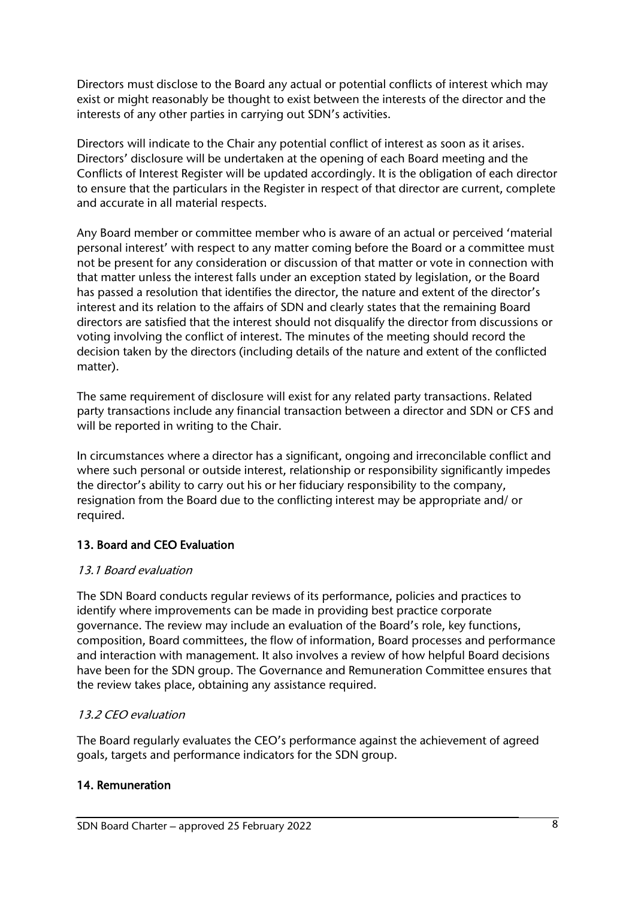Directors must disclose to the Board any actual or potential conflicts of interest which may exist or might reasonably be thought to exist between the interests of the director and the interests of any other parties in carrying out SDN's activities.

Directors will indicate to the Chair any potential conflict of interest as soon as it arises. Directors' disclosure will be undertaken at the opening of each Board meeting and the Conflicts of Interest Register will be updated accordingly. It is the obligation of each director to ensure that the particulars in the Register in respect of that director are current, complete and accurate in all material respects.

Any Board member or committee member who is aware of an actual or perceived 'material personal interest' with respect to any matter coming before the Board or a committee must not be present for any consideration or discussion of that matter or vote in connection with that matter unless the interest falls under an exception stated by legislation, or the Board has passed a resolution that identifies the director, the nature and extent of the director's interest and its relation to the affairs of SDN and clearly states that the remaining Board directors are satisfied that the interest should not disqualify the director from discussions or voting involving the conflict of interest. The minutes of the meeting should record the decision taken by the directors (including details of the nature and extent of the conflicted matter).

The same requirement of disclosure will exist for any related party transactions. Related party transactions include any financial transaction between a director and SDN or CFS and will be reported in writing to the Chair.

In circumstances where a director has a significant, ongoing and irreconcilable conflict and where such personal or outside interest, relationship or responsibility significantly impedes the director's ability to carry out his or her fiduciary responsibility to the company, resignation from the Board due to the conflicting interest may be appropriate and/ or required.

# 13. Board and CEO Evaluation

## 13.1 Board evaluation

The SDN Board conducts regular reviews of its performance, policies and practices to identify where improvements can be made in providing best practice corporate governance. The review may include an evaluation of the Board's role, key functions, composition, Board committees, the flow of information, Board processes and performance and interaction with management. It also involves a review of how helpful Board decisions have been for the SDN group. The Governance and Remuneration Committee ensures that the review takes place, obtaining any assistance required.

# 13.2 CEO evaluation

The Board regularly evaluates the CEO's performance against the achievement of agreed goals, targets and performance indicators for the SDN group.

## 14. Remuneration